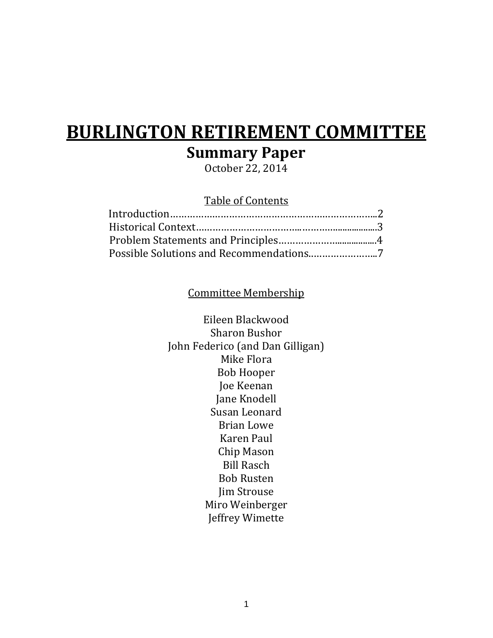# **BURLINGTON RETIREMENT COMMITTEE Summary Paper**

October 22, 2014

# Table of Contents

# Committee Membership

Eileen Blackwood Sharon Bushor John Federico (and Dan Gilligan) Mike Flora Bob Hooper Joe Keenan Jane Knodell Susan Leonard Brian Lowe Karen Paul Chip Mason Bill Rasch Bob Rusten Jim Strouse Miro Weinberger Jeffrey Wimette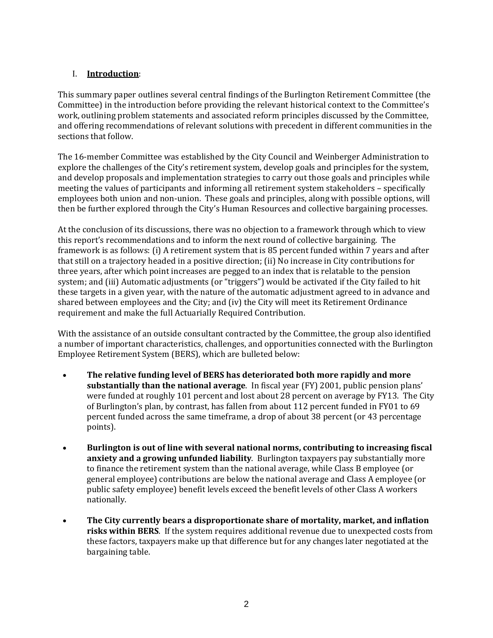# I. **Introduction**:

This summary paper outlines several central findings of the Burlington Retirement Committee (the Committee) in the introduction before providing the relevant historical context to the Committee's work, outlining problem statements and associated reform principles discussed by the Committee, and offering recommendations of relevant solutions with precedent in different communities in the sections that follow.

The 16-member Committee was established by the City Council and Weinberger Administration to explore the challenges of the City's retirement system, develop goals and principles for the system, and develop proposals and implementation strategies to carry out those goals and principles while meeting the values of participants and informing all retirement system stakeholders – specifically employees both union and non-union. These goals and principles, along with possible options, will then be further explored through the City's Human Resources and collective bargaining processes.

At the conclusion of its discussions, there was no objection to a framework through which to view this report's recommendations and to inform the next round of collective bargaining. The framework is as follows: (i) A retirement system that is 85 percent funded within 7 years and after that still on a trajectory headed in a positive direction; (ii) No increase in City contributions for three years, after which point increases are pegged to an index that is relatable to the pension system; and (iii) Automatic adjustments (or "triggers") would be activated if the City failed to hit these targets in a given year, with the nature of the automatic adjustment agreed to in advance and shared between employees and the City; and (iv) the City will meet its Retirement Ordinance requirement and make the full Actuarially Required Contribution.

With the assistance of an outside consultant contracted by the Committee, the group also identified a number of important characteristics, challenges, and opportunities connected with the Burlington Employee Retirement System (BERS), which are bulleted below:

- **The relative funding level of BERS has deteriorated both more rapidly and more substantially than the national average**. In fiscal year (FY) 2001, public pension plans' were funded at roughly 101 percent and lost about 28 percent on average by FY13. The City of Burlington's plan, by contrast, has fallen from about 112 percent funded in FY01 to 69 percent funded across the same timeframe, a drop of about 38 percent (or 43 percentage points).
- **Burlington is out of line with several national norms, contributing to increasing fiscal anxiety and a growing unfunded liability**. Burlington taxpayers pay substantially more to finance the retirement system than the national average, while Class B employee (or general employee) contributions are below the national average and Class A employee (or public safety employee) benefit levels exceed the benefit levels of other Class A workers nationally.
- **The City currently bears a disproportionate share of mortality, market, and inflation risks within BERS**. If the system requires additional revenue due to unexpected costs from these factors, taxpayers make up that difference but for any changes later negotiated at the bargaining table.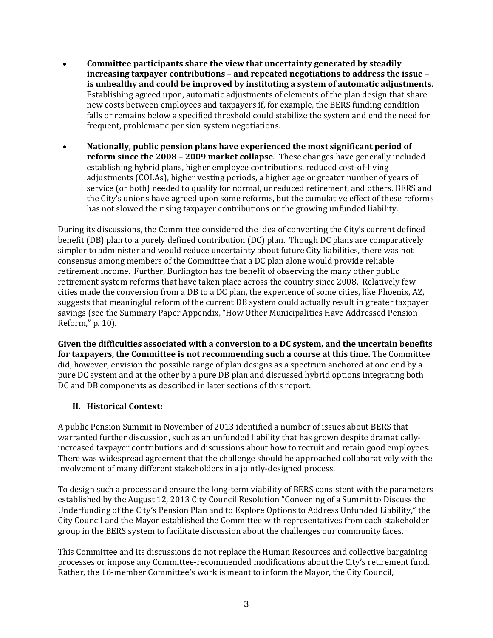- **Committee participants share the view that uncertainty generated by steadily increasing taxpayer contributions – and repeated negotiations to address the issue – is unhealthy and could be improved by instituting a system of automatic adjustments**. Establishing agreed upon, automatic adjustments of elements of the plan design that share new costs between employees and taxpayers if, for example, the BERS funding condition falls or remains below a specified threshold could stabilize the system and end the need for frequent, problematic pension system negotiations.
- **Nationally, public pension plans have experienced the most significant period of reform since the 2008 – 2009 market collapse**. These changes have generally included establishing hybrid plans, higher employee contributions, reduced cost-of-living adjustments (COLAs), higher vesting periods, a higher age or greater number of years of service (or both) needed to qualify for normal, unreduced retirement, and others. BERS and the City's unions have agreed upon some reforms, but the cumulative effect of these reforms has not slowed the rising taxpayer contributions or the growing unfunded liability.

During its discussions, the Committee considered the idea of converting the City's current defined benefit (DB) plan to a purely defined contribution (DC) plan. Though DC plans are comparatively simpler to administer and would reduce uncertainty about future City liabilities, there was not consensus among members of the Committee that a DC plan alone would provide reliable retirement income. Further, Burlington has the benefit of observing the many other public retirement system reforms that have taken place across the country since 2008. Relatively few cities made the conversion from a DB to a DC plan, the experience of some cities, like Phoenix, AZ, suggests that meaningful reform of the current DB system could actually result in greater taxpayer savings (see the Summary Paper Appendix, "How Other Municipalities Have Addressed Pension Reform," p. 10).

**Given the difficulties associated with a conversion to a DC system, and the uncertain benefits for taxpayers, the Committee is not recommending such a course at this time.** The Committee did, however, envision the possible range of plan designs as a spectrum anchored at one end by a pure DC system and at the other by a pure DB plan and discussed hybrid options integrating both DC and DB components as described in later sections of this report.

# **II. Historical Context:**

A public Pension Summit in November of 2013 identified a number of issues about BERS that warranted further discussion, such as an unfunded liability that has grown despite dramaticallyincreased taxpayer contributions and discussions about how to recruit and retain good employees. There was widespread agreement that the challenge should be approached collaboratively with the involvement of many different stakeholders in a jointly-designed process.

To design such a process and ensure the long-term viability of BERS consistent with the parameters established by the August 12, 2013 City Council Resolution "Convening of a Summit to Discuss the Underfunding of the City's Pension Plan and to Explore Options to Address Unfunded Liability," the City Council and the Mayor established the Committee with representatives from each stakeholder group in the BERS system to facilitate discussion about the challenges our community faces.

This Committee and its discussions do not replace the Human Resources and collective bargaining processes or impose any Committee-recommended modifications about the City's retirement fund. Rather, the 16-member Committee's work is meant to inform the Mayor, the City Council,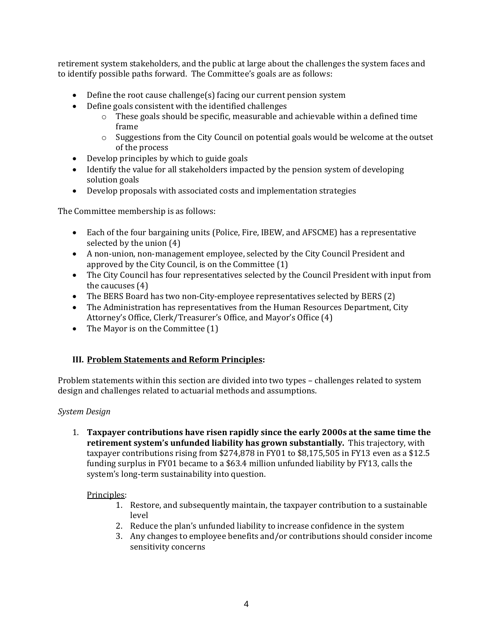retirement system stakeholders, and the public at large about the challenges the system faces and to identify possible paths forward. The Committee's goals are as follows:

- Define the root cause challenge(s) facing our current pension system
- Define goals consistent with the identified challenges
	- $\circ$  These goals should be specific, measurable and achievable within a defined time frame
	- o Suggestions from the City Council on potential goals would be welcome at the outset of the process
- Develop principles by which to guide goals
- Identify the value for all stakeholders impacted by the pension system of developing solution goals
- Develop proposals with associated costs and implementation strategies

The Committee membership is as follows:

- Each of the four bargaining units (Police, Fire, IBEW, and AFSCME) has a representative selected by the union (4)
- A non-union, non-management employee, selected by the City Council President and approved by the City Council, is on the Committee (1)
- The City Council has four representatives selected by the Council President with input from the caucuses (4)
- The BERS Board has two non-City-employee representatives selected by BERS (2)
- The Administration has representatives from the Human Resources Department, City Attorney's Office, Clerk/Treasurer's Office, and Mayor's Office (4)
- The Mayor is on the Committee (1)

# **III. Problem Statements and Reform Principles:**

Problem statements within this section are divided into two types – challenges related to system design and challenges related to actuarial methods and assumptions.

# *System Design*

1. **Taxpayer contributions have risen rapidly since the early 2000s at the same time the retirement system's unfunded liability has grown substantially.** This trajectory, with taxpayer contributions rising from \$274,878 in FY01 to \$8,175,505 in FY13 even as a \$12.5 funding surplus in FY01 became to a \$63.4 million unfunded liability by FY13, calls the system's long-term sustainability into question.

# Principles:

- 1. Restore, and subsequently maintain, the taxpayer contribution to a sustainable level
- 2. Reduce the plan's unfunded liability to increase confidence in the system
- 3. Any changes to employee benefits and/or contributions should consider income sensitivity concerns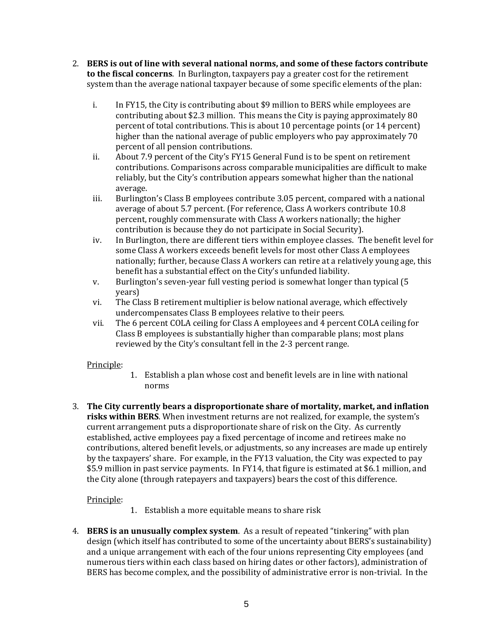- 2. **BERS is out of line with several national norms, and some of these factors contribute to the fiscal concerns**. In Burlington, taxpayers pay a greater cost for the retirement system than the average national taxpayer because of some specific elements of the plan:
	- i. In FY15, the City is contributing about \$9 million to BERS while employees are contributing about \$2.3 million. This means the City is paying approximately 80 percent of total contributions. This is about 10 percentage points (or 14 percent) higher than the national average of public employers who pay approximately 70 percent of all pension contributions.
	- ii. About 7.9 percent of the City's FY15 General Fund is to be spent on retirement contributions. Comparisons across comparable municipalities are difficult to make reliably, but the City's contribution appears somewhat higher than the national average.
	- iii. Burlington's Class B employees contribute 3.05 percent, compared with a national average of about 5.7 percent. (For reference, Class A workers contribute 10.8 percent, roughly commensurate with Class A workers nationally; the higher contribution is because they do not participate in Social Security).
	- iv. In Burlington, there are different tiers within employee classes. The benefit level for some Class A workers exceeds benefit levels for most other Class A employees nationally; further, because Class A workers can retire at a relatively young age, this benefit has a substantial effect on the City's unfunded liability.
	- v. Burlington's seven-year full vesting period is somewhat longer than typical (5 years)
	- vi. The Class B retirement multiplier is below national average, which effectively undercompensates Class B employees relative to their peers.
	- vii. The 6 percent COLA ceiling for Class A employees and 4 percent COLA ceiling for Class B employees is substantially higher than comparable plans; most plans reviewed by the City's consultant fell in the 2-3 percent range.

# Principle:

- 1. Establish a plan whose cost and benefit levels are in line with national norms
- 3. **The City currently bears a disproportionate share of mortality, market, and inflation risks within BERS**. When investment returns are not realized, for example, the system's current arrangement puts a disproportionate share of risk on the City. As currently established, active employees pay a fixed percentage of income and retirees make no contributions, altered benefit levels, or adjustments, so any increases are made up entirely by the taxpayers' share. For example, in the FY13 valuation, the City was expected to pay \$5.9 million in past service payments. In FY14, that figure is estimated at \$6.1 million, and the City alone (through ratepayers and taxpayers) bears the cost of this difference.

# Principle:

- 1. Establish a more equitable means to share risk
- 4. **BERS is an unusually complex system**. As a result of repeated "tinkering" with plan design (which itself has contributed to some of the uncertainty about BERS's sustainability) and a unique arrangement with each of the four unions representing City employees (and numerous tiers within each class based on hiring dates or other factors), administration of BERS has become complex, and the possibility of administrative error is non-trivial. In the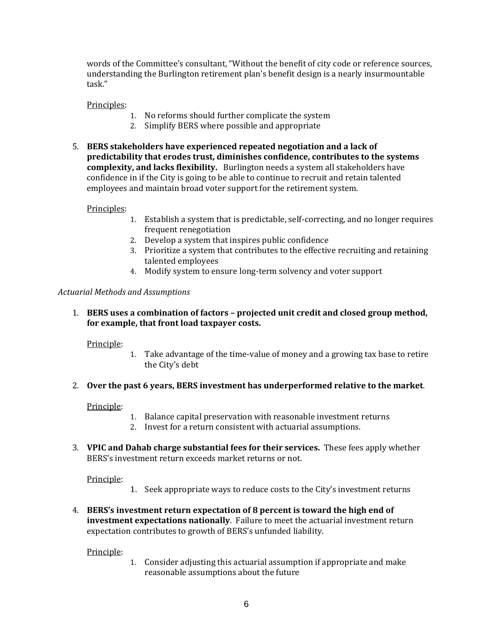words of the Committee's consultant, "Without the benefit of city code or reference sources, understanding the Burlington retirement plan's benefit design is a nearly insurmountable task."

#### Principles:

- 1. No reforms should further complicate the system
- 2. Simplify BERS where possible and appropriate
- 5. **BERS stakeholders have experienced repeated negotiation and a lack of predictability that erodes trust, diminishes confidence, contributes to the systems complexity, and lacks flexibility.** Burlington needs a system all stakeholders have confidence in if the City is going to be able to continue to recruit and retain talented employees and maintain broad voter support for the retirement system.

#### Principles:

- 1. Establish a system that is predictable, self-correcting, and no longer requires frequent renegotiation
- 2. Develop a system that inspires public confidence
- 3. Prioritize a system that contributes to the effective recruiting and retaining talented employees
- 4. Modify system to ensure long-term solvency and voter support

#### *Actuarial Methods and Assumptions*

1. **BERS uses a combination of factors – projected unit credit and closed group method, for example, that front load taxpayer costs.**

#### Principle:

1. Take advantage of the time-value of money and a growing tax base to retire the City's debt

#### 2. **Over the past 6 years, BERS investment has underperformed relative to the market**.

#### Principle:

- 1. Balance capital preservation with reasonable investment returns
- 2. Invest for a return consistent with actuarial assumptions.
- 3. **VPIC and Dahab charge substantial fees for their services.** These fees apply whether BERS's investment return exceeds market returns or not.

Principle:

- 1. Seek appropriate ways to reduce costs to the City's investment returns
- 4. **BERS's investment return expectation of 8 percent is toward the high end of investment expectations nationally**. Failure to meet the actuarial investment return expectation contributes to growth of BERS's unfunded liability.

#### Principle:

1. Consider adjusting this actuarial assumption if appropriate and make reasonable assumptions about the future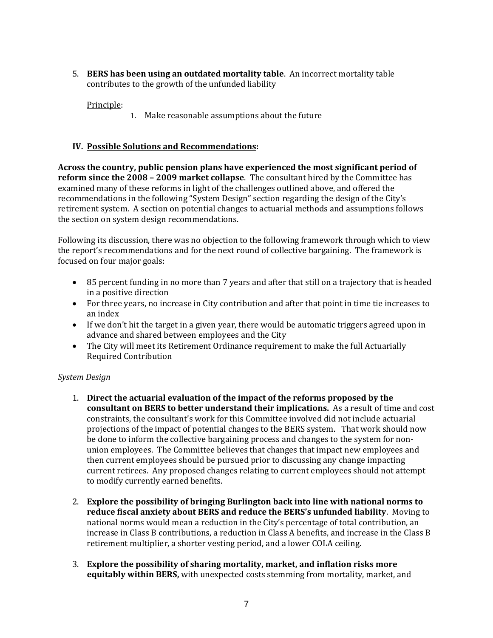5. **BERS has been using an outdated mortality table**. An incorrect mortality table contributes to the growth of the unfunded liability

Principle:

1. Make reasonable assumptions about the future

# **IV. Possible Solutions and Recommendations:**

**Across the country, public pension plans have experienced the most significant period of reform since the 2008 – 2009 market collapse**. The consultant hired by the Committee has examined many of these reforms in light of the challenges outlined above, and offered the recommendations in the following "System Design" section regarding the design of the City's retirement system. A section on potential changes to actuarial methods and assumptions follows the section on system design recommendations.

Following its discussion, there was no objection to the following framework through which to view the report's recommendations and for the next round of collective bargaining. The framework is focused on four major goals:

- 85 percent funding in no more than 7 years and after that still on a trajectory that is headed in a positive direction
- For three years, no increase in City contribution and after that point in time tie increases to an index
- If we don't hit the target in a given year, there would be automatic triggers agreed upon in advance and shared between employees and the City
- The City will meet its Retirement Ordinance requirement to make the full Actuarially Required Contribution

# *System Design*

- 1. **Direct the actuarial evaluation of the impact of the reforms proposed by the consultant on BERS to better understand their implications.** As a result of time and cost constraints, the consultant's work for this Committee involved did not include actuarial projections of the impact of potential changes to the BERS system. That work should now be done to inform the collective bargaining process and changes to the system for nonunion employees. The Committee believes that changes that impact new employees and then current employees should be pursued prior to discussing any change impacting current retirees. Any proposed changes relating to current employees should not attempt to modify currently earned benefits.
- 2. **Explore the possibility of bringing Burlington back into line with national norms to reduce fiscal anxiety about BERS and reduce the BERS's unfunded liability**. Moving to national norms would mean a reduction in the City's percentage of total contribution, an increase in Class B contributions, a reduction in Class A benefits, and increase in the Class B retirement multiplier, a shorter vesting period, and a lower COLA ceiling.
- 3. **Explore the possibility of sharing mortality, market, and inflation risks more equitably within BERS,** with unexpected costs stemming from mortality, market, and